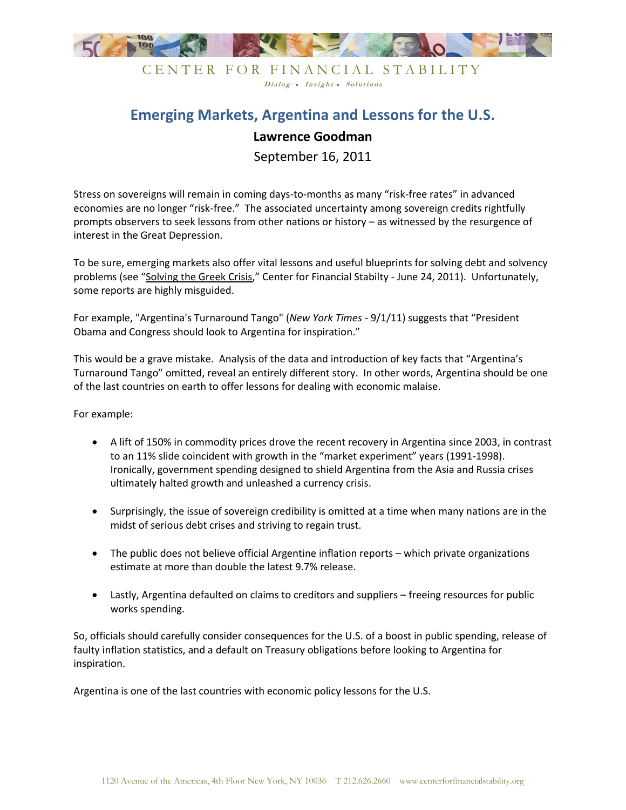

## CENTER FOR FINANCIAL STABILITY Dialog • Insight • Solutions

## **Emerging Markets, Argentina and Lessons for the U.S. Lawrence Goodman**

September 16, 2011

Stress on sovereigns will remain in coming days-to-months as many "risk-free rates" in advanced economies are no longer "risk-free." The associated uncertainty among sovereign credits rightfully prompts observers to seek lessons from other nations or history – as witnessed by the resurgence of interest in the Great Depression.

To be sure, emerging markets also offer vital lessons and useful blueprints for solving debt and solvency problems (see "Solving the Greek Crisis," Center for Financial Stabilty - June 24, 2011). Unfortunately, some reports are highly misguided.

For example, "Argentina's Turnaround Tango" (*New York Times* - 9/1/11) suggests that "President Obama and Congress should look to Argentina for inspiration."

This would be a grave mistake. Analysis of the data and introduction of key facts that "Argentina's Turnaround Tango" omitted, reveal an entirely different story. In other words, Argentina should be one of the last countries on earth to offer lessons for dealing with economic malaise.

For example:

- A lift of 150% in commodity prices drove the recent recovery in Argentina since 2003, in contrast to an 11% slide coincident with growth in the "market experiment" years (1991-1998). Ironically, government spending designed to shield Argentina from the Asia and Russia crises ultimately halted growth and unleashed a currency crisis.
- Surprisingly, the issue of sovereign credibility is omitted at a time when many nations are in the midst of serious debt crises and striving to regain trust.
- The public does not believe official Argentine inflation reports which private organizations estimate at more than double the latest 9.7% release.
- Lastly, Argentina defaulted on claims to creditors and suppliers freeing resources for public works spending.

So, officials should carefully consider consequences for the U.S. of a boost in public spending, release of faulty inflation statistics, and a default on Treasury obligations before looking to Argentina for inspiration.

Argentina is one of the last countries with economic policy lessons for the U.S.